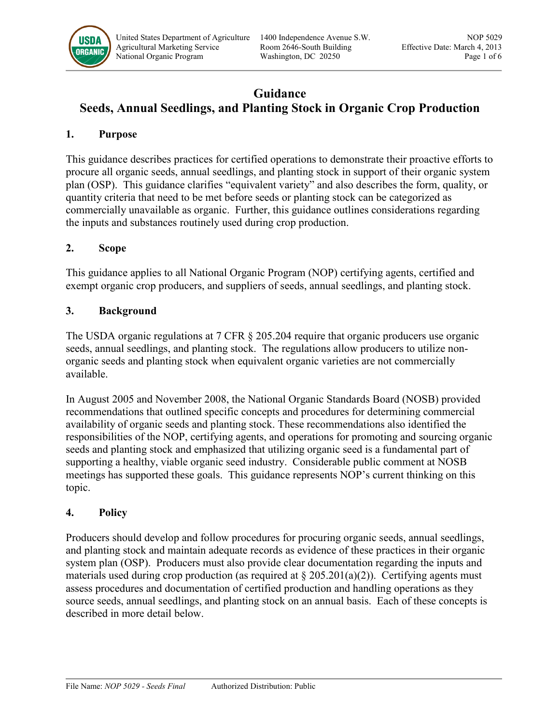

# **Guidance**

# **Seeds, Annual Seedlings, and Planting Stock in Organic Crop Production**

#### **1. Purpose**

This guidance describes practices for certified operations to demonstrate their proactive efforts to procure all organic seeds, annual seedlings, and planting stock in support of their organic system plan (OSP). This guidance clarifies "equivalent variety" and also describes the form, quality, or quantity criteria that need to be met before seeds or planting stock can be categorized as commercially unavailable as organic. Further, this guidance outlines considerations regarding the inputs and substances routinely used during crop production.

### **2. Scope**

This guidance applies to all National Organic Program (NOP) certifying agents, certified and exempt organic crop producers, and suppliers of seeds, annual seedlings, and planting stock.

#### **3. Background**

The USDA organic regulations at 7 CFR § 205.204 require that organic producers use organic seeds, annual seedlings, and planting stock. The regulations allow producers to utilize nonorganic seeds and planting stock when equivalent organic varieties are not commercially available.

In August 2005 and November 2008, the National Organic Standards Board (NOSB) provided recommendations that outlined specific concepts and procedures for determining commercial availability of organic seeds and planting stock. These recommendations also identified the responsibilities of the NOP, certifying agents, and operations for promoting and sourcing organic seeds and planting stock and emphasized that utilizing organic seed is a fundamental part of supporting a healthy, viable organic seed industry. Considerable public comment at NOSB meetings has supported these goals. This guidance represents NOP's current thinking on this topic.

### **4. Policy**

Producers should develop and follow procedures for procuring organic seeds, annual seedlings, and planting stock and maintain adequate records as evidence of these practices in their organic system plan (OSP). Producers must also provide clear documentation regarding the inputs and materials used during crop production (as required at  $\S 205.201(a)(2)$ ). Certifying agents must assess procedures and documentation of certified production and handling operations as they source seeds, annual seedlings, and planting stock on an annual basis. Each of these concepts is described in more detail below.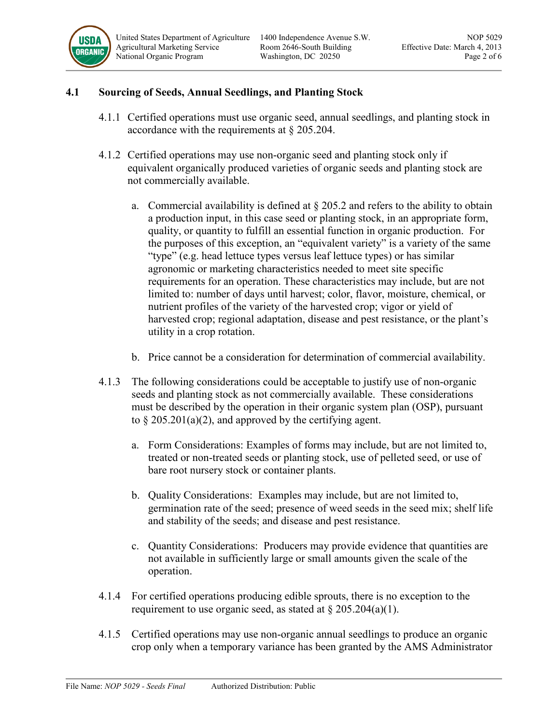

### **4.1 Sourcing of Seeds, Annual Seedlings, and Planting Stock**

- 4.1.1 Certified operations must use organic seed, annual seedlings, and planting stock in accordance with the requirements at § 205.204.
- 4.1.2 Certified operations may use non-organic seed and planting stock only if equivalent organically produced varieties of organic seeds and planting stock are not commercially available.
	- a. Commercial availability is defined at  $\S 205.2$  and refers to the ability to obtain a production input, in this case seed or planting stock, in an appropriate form, quality, or quantity to fulfill an essential function in organic production. For the purposes of this exception, an "equivalent variety" is a variety of the same "type" (e.g. head lettuce types versus leaf lettuce types) or has similar agronomic or marketing characteristics needed to meet site specific requirements for an operation. These characteristics may include, but are not limited to: number of days until harvest; color, flavor, moisture, chemical, or nutrient profiles of the variety of the harvested crop; vigor or yield of harvested crop; regional adaptation, disease and pest resistance, or the plant's utility in a crop rotation.
	- b. Price cannot be a consideration for determination of commercial availability.
- 4.1.3 The following considerations could be acceptable to justify use of non-organic seeds and planting stock as not commercially available. These considerations must be described by the operation in their organic system plan (OSP), pursuant to  $\S 205.201(a)(2)$ , and approved by the certifying agent.
	- a. Form Considerations: Examples of forms may include, but are not limited to, treated or non-treated seeds or planting stock, use of pelleted seed, or use of bare root nursery stock or container plants.
	- b. Quality Considerations: Examples may include, but are not limited to, germination rate of the seed; presence of weed seeds in the seed mix; shelf life and stability of the seeds; and disease and pest resistance.
	- c. Quantity Considerations: Producers may provide evidence that quantities are not available in sufficiently large or small amounts given the scale of the operation.
- 4.1.4 For certified operations producing edible sprouts, there is no exception to the requirement to use organic seed, as stated at  $\S 205.204(a)(1)$ .
- 4.1.5 Certified operations may use non-organic annual seedlings to produce an organic crop only when a temporary variance has been granted by the AMS Administrator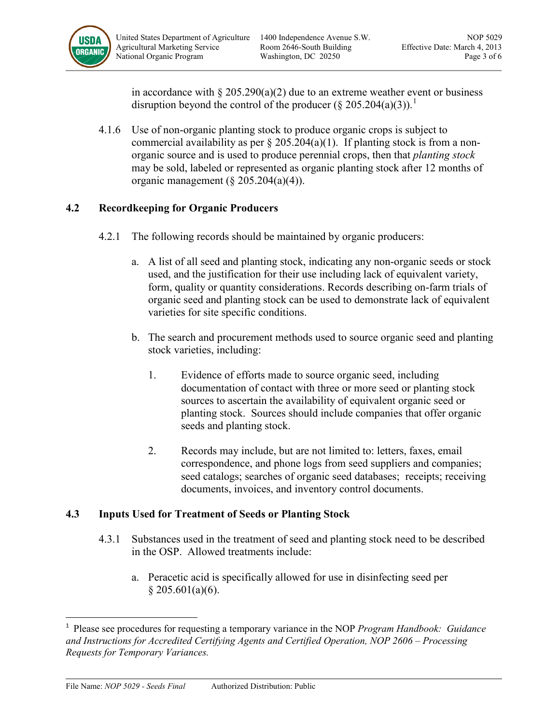

in accordance with  $\S 205.290(a)(2)$  due to an extreme weather event or business disruption beyond the control of the producer  $(\S 205.204(a)(3))$ .<sup>[1](#page-2-0)</sup>

4.1.6 Use of non-organic planting stock to produce organic crops is subject to commercial availability as per  $\S 205.204(a)(1)$ . If planting stock is from a nonorganic source and is used to produce perennial crops, then that *planting stock* may be sold, labeled or represented as organic planting stock after 12 months of organic management  $(\S$  205.204(a)(4)).

## **4.2 Recordkeeping for Organic Producers**

- 4.2.1 The following records should be maintained by organic producers:
	- a. A list of all seed and planting stock, indicating any non-organic seeds or stock used, and the justification for their use including lack of equivalent variety, form, quality or quantity considerations. Records describing on-farm trials of organic seed and planting stock can be used to demonstrate lack of equivalent varieties for site specific conditions.
	- b. The search and procurement methods used to source organic seed and planting stock varieties, including:
		- 1. Evidence of efforts made to source organic seed, including documentation of contact with three or more seed or planting stock sources to ascertain the availability of equivalent organic seed or planting stock. Sources should include companies that offer organic seeds and planting stock.
		- 2. Records may include, but are not limited to: letters, faxes, email correspondence, and phone logs from seed suppliers and companies; seed catalogs; searches of organic seed databases; receipts; receiving documents, invoices, and inventory control documents.

### **4.3 Inputs Used for Treatment of Seeds or Planting Stock**

- 4.3.1 Substances used in the treatment of seed and planting stock need to be described in the OSP. Allowed treatments include:
	- a. Peracetic acid is specifically allowed for use in disinfecting seed per  $§$  205.601(a)(6).

<span id="page-2-0"></span> $\frac{1}{1}$  Please see procedures for requesting a temporary variance in the NOP *Program Handbook: Guidance and Instructions for Accredited Certifying Agents and Certified Operation, NOP 2606 – Processing Requests for Temporary Variances.*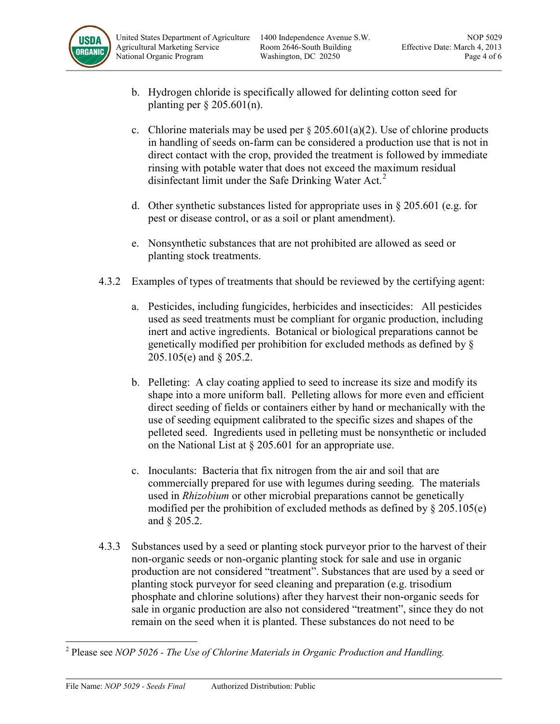

- b. Hydrogen chloride is specifically allowed for delinting cotton seed for planting per § 205.601(n).
- c. Chlorine materials may be used per  $\S 205.601(a)(2)$ . Use of chlorine products in handling of seeds on-farm can be considered a production use that is not in direct contact with the crop, provided the treatment is followed by immediate rinsing with potable water that does not exceed the maximum residual disinfectant limit under the Safe Drinking Water Act.<sup>[2](#page-3-0)</sup>
- d. Other synthetic substances listed for appropriate uses in § 205.601 (e.g. for pest or disease control, or as a soil or plant amendment).
- e. Nonsynthetic substances that are not prohibited are allowed as seed or planting stock treatments.
- 4.3.2 Examples of types of treatments that should be reviewed by the certifying agent:
	- a. Pesticides, including fungicides, herbicides and insecticides: All pesticides used as seed treatments must be compliant for organic production, including inert and active ingredients. Botanical or biological preparations cannot be genetically modified per prohibition for excluded methods as defined by § 205.105(e) and § 205.2.
	- b. Pelleting: A clay coating applied to seed to increase its size and modify its shape into a more uniform ball. Pelleting allows for more even and efficient direct seeding of fields or containers either by hand or mechanically with the use of seeding equipment calibrated to the specific sizes and shapes of the pelleted seed. Ingredients used in pelleting must be nonsynthetic or included on the National List at § 205.601 for an appropriate use.
	- c. Inoculants: Bacteria that fix nitrogen from the air and soil that are commercially prepared for use with legumes during seeding. The materials used in *Rhizobium* or other microbial preparations cannot be genetically modified per the prohibition of excluded methods as defined by  $\S 205.105(e)$ and § 205.2.
- 4.3.3 Substances used by a seed or planting stock purveyor prior to the harvest of their non-organic seeds or non-organic planting stock for sale and use in organic production are not considered "treatment". Substances that are used by a seed or planting stock purveyor for seed cleaning and preparation (e.g. trisodium phosphate and chlorine solutions) after they harvest their non-organic seeds for sale in organic production are also not considered "treatment", since they do not remain on the seed when it is planted. These substances do not need to be

<span id="page-3-0"></span>l <sup>2</sup> Please see *NOP 5026 - The Use of Chlorine Materials in Organic Production and Handling.*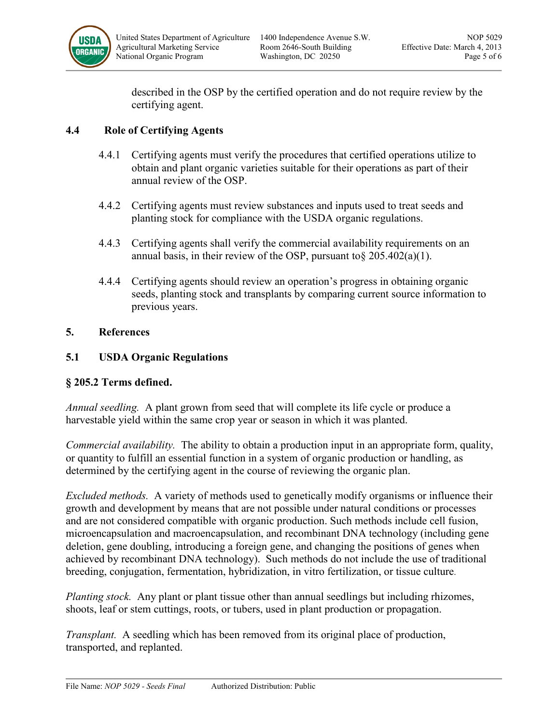

described in the OSP by the certified operation and do not require review by the certifying agent.

### **4.4 Role of Certifying Agents**

- 4.4.1 Certifying agents must verify the procedures that certified operations utilize to obtain and plant organic varieties suitable for their operations as part of their annual review of the OSP.
- 4.4.2 Certifying agents must review substances and inputs used to treat seeds and planting stock for compliance with the USDA organic regulations.
- 4.4.3 Certifying agents shall verify the commercial availability requirements on an annual basis, in their review of the OSP, pursuant to §  $205.402(a)(1)$ .
- 4.4.4 Certifying agents should review an operation's progress in obtaining organic seeds, planting stock and transplants by comparing current source information to previous years.

### **5. References**

### **5.1 USDA Organic Regulations**

### **§ 205.2 Terms defined.**

*Annual seedling.* A plant grown from seed that will complete its life cycle or produce a harvestable yield within the same crop year or season in which it was planted.

*Commercial availability.* The ability to obtain a production input in an appropriate form, quality, or quantity to fulfill an essential function in a system of organic production or handling, as determined by the certifying agent in the course of reviewing the organic plan.

*Excluded methods.* A variety of methods used to genetically modify organisms or influence their growth and development by means that are not possible under natural conditions or processes and are not considered compatible with organic production. Such methods include cell fusion, microencapsulation and macroencapsulation, and recombinant DNA technology (including gene deletion, gene doubling, introducing a foreign gene, and changing the positions of genes when achieved by recombinant DNA technology). Such methods do not include the use of traditional breeding, conjugation, fermentation, hybridization, in vitro fertilization, or tissue culture.

*Planting stock.* Any plant or plant tissue other than annual seedlings but including rhizomes, shoots, leaf or stem cuttings, roots, or tubers, used in plant production or propagation.

*Transplant.* A seedling which has been removed from its original place of production, transported, and replanted.